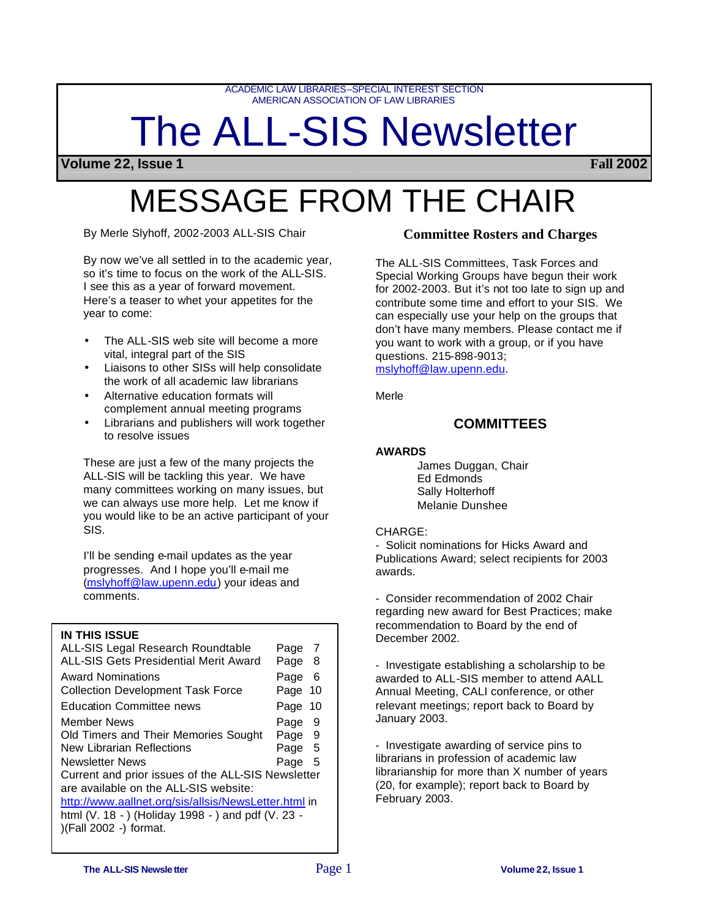ACADEMIC LAW LIBRARIES–SPECIAL INTEREST SECTION AMERICAN ASSOCIATION OF LAW LIBRARIES

# The ALL-SIS Newsletter

**Volume 22, Issue 1 Fall 2002**

## MESSAGE FROM THE CHAIR

By Merle Slyhoff, 2002-2003 ALL-SIS Chair

By now we've all settled in to the academic year, so it's time to focus on the work of the ALL-SIS. I see this as a year of forward movement. Here's a teaser to whet your appetites for the year to come:

- The ALL-SIS web site will become a more vital, integral part of the SIS
- Liaisons to other SISs will help consolidate the work of all academic law librarians
- Alternative education formats will complement annual meeting programs
- Librarians and publishers will work together to resolve issues

These are just a few of the many projects the ALL-SIS will be tackling this year. We have many committees working on many issues, but we can always use more help. Let me know if you would like to be an active participant of your SIS.

I'll be sending e-mail updates as the year progresses. And I hope you'll e-mail me (mslyhoff@law.upenn.edu) your ideas and comments.

## **IN THIS ISSUE**

| ALL-SIS Legal Research Roundtable                                                           | Page 7  |     |
|---------------------------------------------------------------------------------------------|---------|-----|
| <b>ALL-SIS Gets Presidential Merit Award</b>                                                | Page 8  |     |
| Award Nominations                                                                           | Page    | - 6 |
| <b>Collection Development Task Force</b>                                                    | Page 10 |     |
| <b>Education Committee news</b>                                                             | Page 10 |     |
| Member News                                                                                 | Page    | 9   |
| Old Timers and Their Memories Sought                                                        | Page 9  |     |
| New Librarian Reflections                                                                   | Page 5  |     |
| Newsletter News                                                                             | Page    | -5  |
| Current and prior issues of the ALL-SIS Newsletter<br>are available on the ALL-SIS website: |         |     |
| http://www.aallnet.org/sis/allsis/NewsLetter.html in                                        |         |     |
| html (V. 18 - ) (Holiday 1998 - ) and pdf (V. 23 -                                          |         |     |
| )(Fall 2002 -) format.                                                                      |         |     |

## **Committee Rosters and Charges**

The ALL-SIS Committees, Task Forces and Special Working Groups have begun their work for 2002-2003. But it's not too late to sign up and contribute some time and effort to your SIS. We can especially use your help on the groups that don't have many members. Please contact me if you want to work with a group, or if you have questions. 215-898-9013;

mslyhoff@law.upenn.edu.

Merle

## **COMMITTEES**

## **AWARDS**

James Duggan, Chair Ed Edmonds Sally Holterhoff Melanie Dunshee

## CHARGE:

- Solicit nominations for Hicks Award and Publications Award; select recipients for 2003 awards.

- Consider recommendation of 2002 Chair regarding new award for Best Practices; make recommendation to Board by the end of December 2002.

- Investigate establishing a scholarship to be awarded to ALL-SIS member to attend AALL Annual Meeting, CALI conference, or other relevant meetings; report back to Board by January 2003.

- Investigate awarding of service pins to librarians in profession of academic law librarianship for more than X number of years (20, for example); report back to Board by February 2003.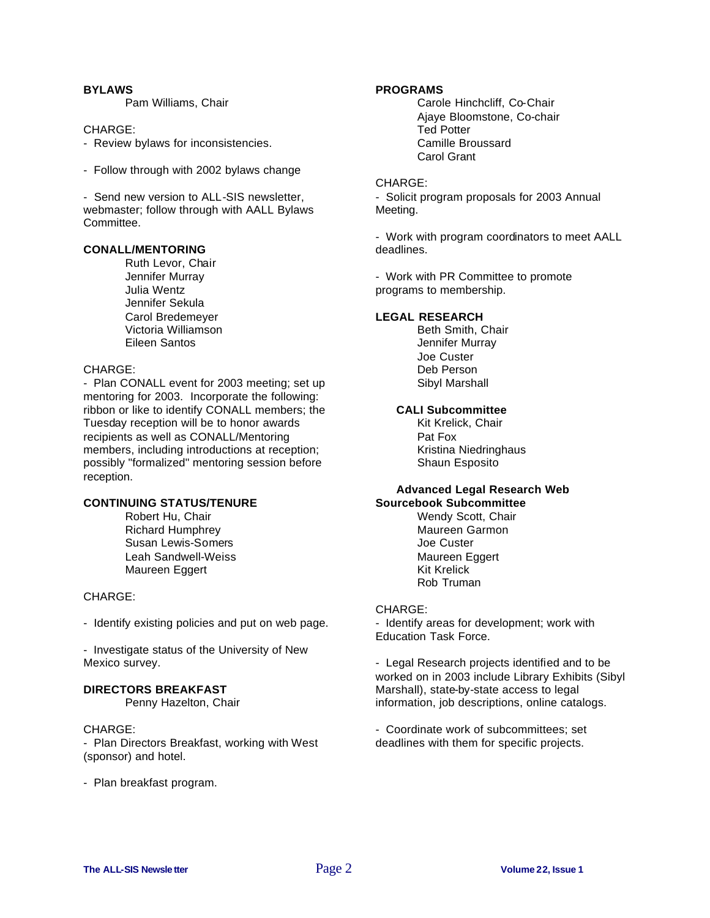## **BYLAWS**

Pam Williams, Chair

#### CHARGE:

- Review bylaws for inconsistencies.
- Follow through with 2002 bylaws change

- Send new version to ALL-SIS newsletter, webmaster; follow through with AALL Bylaws Committee.

## **CONALL/MENTORING**

Ruth Levor, Chair Jennifer Murray Julia Wentz Jennifer Sekula Carol Bredemeyer Victoria Williamson Eileen Santos

## CHARGE:

- Plan CONALL event for 2003 meeting; set up mentoring for 2003. Incorporate the following: ribbon or like to identify CONALL members; the Tuesday reception will be to honor awards recipients as well as CONALL/Mentoring members, including introductions at reception; possibly "formalized" mentoring session before reception.

## **CONTINUING STATUS/TENURE**

Robert Hu, Chair Richard Humphrey Susan Lewis-Somers Leah Sandwell-Weiss Maureen Eggert

## CHARGE:

- Identify existing policies and put on web page.

- Investigate status of the University of New Mexico survey.

## **DIRECTORS BREAKFAST**

Penny Hazelton, Chair

## CHARGE:

- Plan Directors Breakfast, working with West (sponsor) and hotel.

- Plan breakfast program.

## **PROGRAMS**

Carole Hinchcliff, Co-Chair Ajaye Bloomstone, Co-chair Ted Potter Camille Broussard Carol Grant

#### CHARGE:

- Solicit program proposals for 2003 Annual Meeting.

- Work with program coordinators to meet AALL deadlines.

- Work with PR Committee to promote programs to membership.

## **LEGAL RESEARCH**

Beth Smith, Chair Jennifer Murray Joe Custer Deb Person Sibyl Marshall

## **CALI Subcommittee**

Kit Krelick, Chair Pat Fox Kristina Niedringhaus Shaun Esposito

## **Advanced Legal Research Web Sourcebook Subcommittee**

Wendy Scott, Chair Maureen Garmon Joe Custer Maureen Eggert Kit Krelick Rob Truman

#### CHARGE:

- Identify areas for development; work with Education Task Force.

- Legal Research projects identified and to be worked on in 2003 include Library Exhibits (Sibyl Marshall), state-by-state access to legal information, job descriptions, online catalogs.

- Coordinate work of subcommittees; set deadlines with them for specific projects.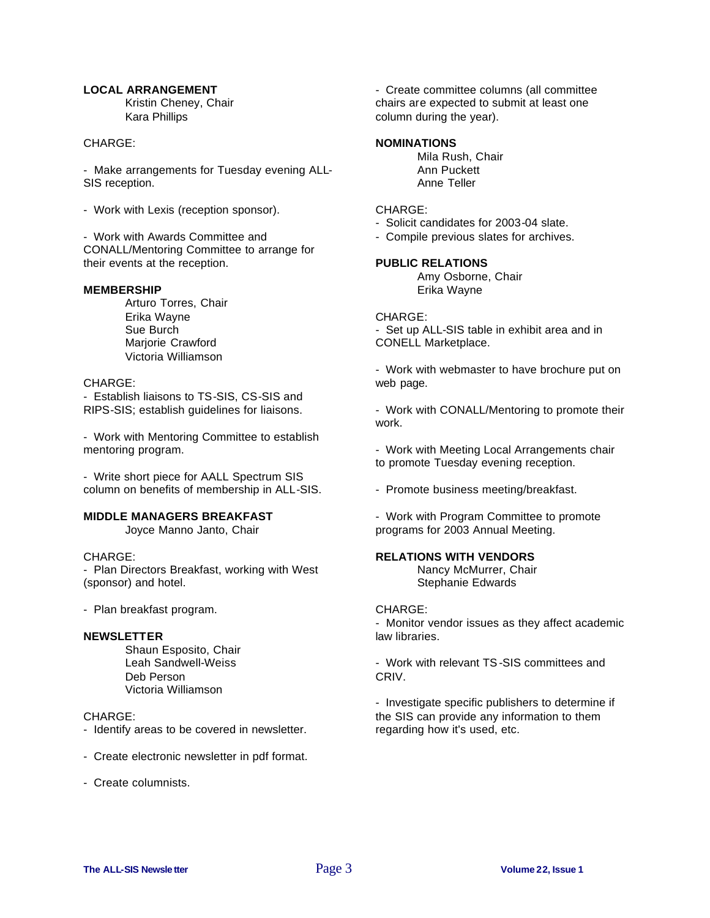## **LOCAL ARRANGEMENT**

Kristin Cheney, Chair Kara Phillips

## CHARGE:

- Make arrangements for Tuesday evening ALL-SIS reception.

- Work with Lexis (reception sponsor).

- Work with Awards Committee and CONALL/Mentoring Committee to arrange for their events at the reception.

## **MEMBERSHIP**

Arturo Torres, Chair Erika Wayne Sue Burch Mariorie Crawford Victoria Williamson

## CHARGE:

- Establish liaisons to TS-SIS, CS-SIS and RIPS-SIS; establish guidelines for liaisons.

- Work with Mentoring Committee to establish mentoring program.

- Write short piece for AALL Spectrum SIS column on benefits of membership in ALL-SIS.

## **MIDDLE MANAGERS BREAKFAST**

Joyce Manno Janto, Chair

## CHARGE:

- Plan Directors Breakfast, working with West (sponsor) and hotel.

- Plan breakfast program.

## **NEWSLETTER**

Shaun Esposito, Chair Leah Sandwell-Weiss Deb Person Victoria Williamson

## CHARGE:

- Identify areas to be covered in newsletter.
- Create electronic newsletter in pdf format.
- Create columnists.

- Create committee columns (all committee chairs are expected to submit at least one column during the year).

## **NOMINATIONS**

Mila Rush, Chair Ann Puckett Anne Teller

## CHARGE:

- Solicit candidates for 2003-04 slate.

- Compile previous slates for archives.

## **PUBLIC RELATIONS**

Amy Osborne, Chair Erika Wayne

## CHARGE:

- Set up ALL-SIS table in exhibit area and in CONELL Marketplace.

- Work with webmaster to have brochure put on web page.

- Work with CONALL/Mentoring to promote their work.

- Work with Meeting Local Arrangements chair to promote Tuesday evening reception.

- Promote business meeting/breakfast.

- Work with Program Committee to promote programs for 2003 Annual Meeting.

## **RELATIONS WITH VENDORS**

Nancy McMurrer, Chair Stephanie Edwards

## CHARGE:

- Monitor vendor issues as they affect academic law libraries.

- Work with relevant TS-SIS committees and CRIV.

- Investigate specific publishers to determine if the SIS can provide any information to them regarding how it's used, etc.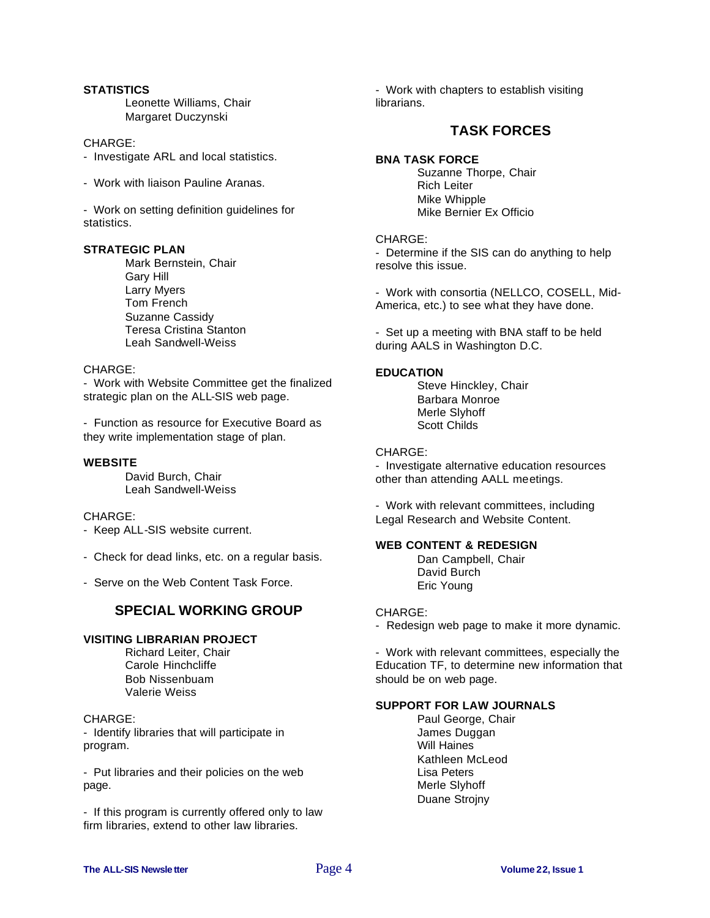## **STATISTICS**

Leonette Williams, Chair Margaret Duczynski

## CHARGE:

- Investigate ARL and local statistics.
- Work with liaison Pauline Aranas.

- Work on setting definition guidelines for statistics.

## **STRATEGIC PLAN**

Mark Bernstein, Chair Gary Hill Larry Myers Tom French Suzanne Cassidy Teresa Cristina Stanton Leah Sandwell-Weiss

## CHARGE:

- Work with Website Committee get the finalized strategic plan on the ALL-SIS web page.

- Function as resource for Executive Board as they write implementation stage of plan.

## **WEBSITE**

David Burch, Chair Leah Sandwell-Weiss

## CHARGE:

- Keep ALL-SIS website current.
- Check for dead links, etc. on a regular basis.
- Serve on the Web Content Task Force.

## **SPECIAL WORKING GROUP**

## **VISITING LIBRARIAN PROJECT**

Richard Leiter, Chair Carole Hinchcliffe Bob Nissenbuam Valerie Weiss

## CHARGE:

- Identify libraries that will participate in program.

- Put libraries and their policies on the web page.

- If this program is currently offered only to law firm libraries, extend to other law libraries.

- Work with chapters to establish visiting librarians.

## **TASK FORCES**

## **BNA TASK FORCE**

Suzanne Thorpe, Chair Rich Leiter Mike Whipple Mike Bernier Ex Officio

## CHARGE:

- Determine if the SIS can do anything to help resolve this issue.

- Work with consortia (NELLCO, COSELL, Mid-America, etc.) to see what they have done.

- Set up a meeting with BNA staff to be held during AALS in Washington D.C.

## **EDUCATION**

Steve Hinckley, Chair Barbara Monroe Merle Slyhoff Scott Childs

## CHARGE:

- Investigate alternative education resources other than attending AALL meetings.

- Work with relevant committees, including Legal Research and Website Content.

## **WEB CONTENT & REDESIGN**

Dan Campbell, Chair David Burch Eric Young

## CHARGE:

- Redesign web page to make it more dynamic.

- Work with relevant committees, especially the Education TF, to determine new information that should be on web page.

## **SUPPORT FOR LAW JOURNALS**

Paul George, Chair James Duggan Will Haines Kathleen McLeod Lisa Peters Merle Slyhoff Duane Strojny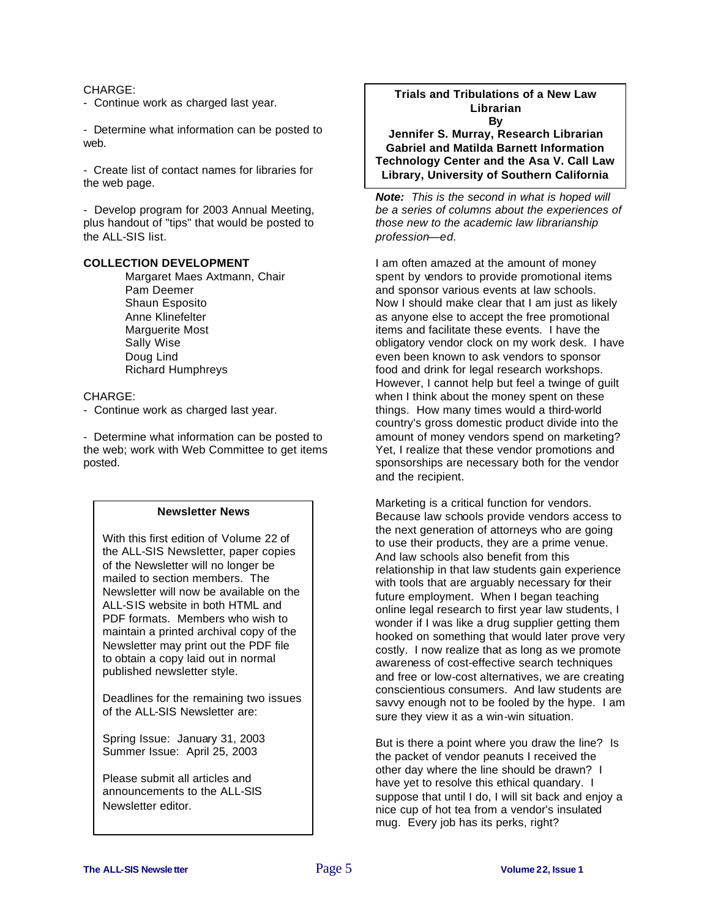## CHARGE:

- Continue work as charged last year.

- Determine what information can be posted to web.

- Create list of contact names for libraries for the web page.

- Develop program for 2003 Annual Meeting, plus handout of "tips" that would be posted to the ALL-SIS list.

## **COLLECTION DEVELOPMENT**

Margaret Maes Axtmann, Chair Pam Deemer Shaun Esposito Anne Klinefelter Marguerite Most Sally Wise Doug Lind Richard Humphreys

## CHARGE:

- Continue work as charged last year.

- Determine what information can be posted to the web; work with Web Committee to get items posted.

## **Newsletter News**

With this first edition of Volume 22 of the ALL-SIS Newsletter, paper copies of the Newsletter will no longer be mailed to section members. The Newsletter will now be available on the ALL-SIS website in both HTML and PDF formats. Members who wish to maintain a printed archival copy of the Newsletter may print out the PDF file to obtain a copy laid out in normal published newsletter style.

Deadlines for the remaining two issues of the ALL-SIS Newsletter are:

Spring Issue: January 31, 2003 Summer Issue: April 25, 2003

Please submit all articles and announcements to the ALL-SIS Newsletter editor.

## **Trials and Tribulations of a New Law Librarian By**

**Jennifer S. Murray, Research Librarian Gabriel and Matilda Barnett Information Technology Center and the Asa V. Call Law Library, University of Southern California**

*Note: This is the second in what is hoped will be a series of columns about the experiences of those new to the academic law librarianship profession—ed*.

I am often amazed at the amount of money spent by vendors to provide promotional items and sponsor various events at law schools. Now I should make clear that I am just as likely as anyone else to accept the free promotional items and facilitate these events. I have the obligatory vendor clock on my work desk. I have even been known to ask vendors to sponsor food and drink for legal research workshops. However, I cannot help but feel a twinge of guilt when I think about the money spent on these things. How many times would a third-world country's gross domestic product divide into the amount of money vendors spend on marketing? Yet, I realize that these vendor promotions and sponsorships are necessary both for the vendor and the recipient.

Marketing is a critical function for vendors. Because law schools provide vendors access to the next generation of attorneys who are going to use their products, they are a prime venue. And law schools also benefit from this relationship in that law students gain experience with tools that are arguably necessary for their future employment. When I began teaching online legal research to first year law students, I wonder if I was like a drug supplier getting them hooked on something that would later prove very costly. I now realize that as long as we promote awareness of cost-effective search techniques and free or low-cost alternatives, we are creating conscientious consumers. And law students are savvy enough not to be fooled by the hype. I am sure they view it as a win-win situation.

But is there a point where you draw the line? Is the packet of vendor peanuts I received the other day where the line should be drawn? I have yet to resolve this ethical quandary. I suppose that until I do, I will sit back and enjoy a nice cup of hot tea from a vendor's insulated mug. Every job has its perks, right?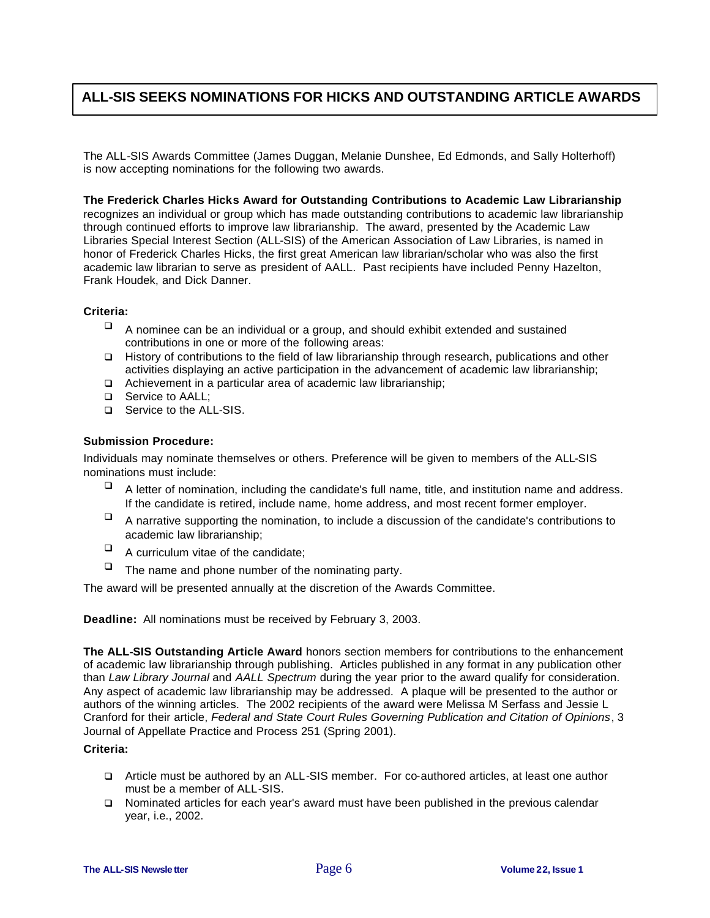## **ALL-SIS SEEKS NOMINATIONS FOR HICKS AND OUTSTANDING ARTICLE AWARDS**

The ALL-SIS Awards Committee (James Duggan, Melanie Dunshee, Ed Edmonds, and Sally Holterhoff) is now accepting nominations for the following two awards.

## **The Frederick Charles Hicks Award for Outstanding Contributions to Academic Law Librarianship**

recognizes an individual or group which has made outstanding contributions to academic law librarianship through continued efforts to improve law librarianship. The award, presented by the Academic Law Libraries Special Interest Section (ALL-SIS) of the American Association of Law Libraries, is named in honor of Frederick Charles Hicks, the first great American law librarian/scholar who was also the first academic law librarian to serve as president of AALL. Past recipients have included Penny Hazelton, Frank Houdek, and Dick Danner.

## **Criteria:**

- $\Box$  A nominee can be an individual or a group, and should exhibit extended and sustained contributions in one or more of the following areas:
- □ History of contributions to the field of law librarianship through research, publications and other activities displaying an active participation in the advancement of academic law librarianship;
- q Achievement in a particular area of academic law librarianship;
- □ Service to AALL;
- □ Service to the ALL-SIS.

## **Submission Procedure:**

Individuals may nominate themselves or others. Preference will be given to members of the ALL-SIS nominations must include:

- $\Box$  A letter of nomination, including the candidate's full name, title, and institution name and address. If the candidate is retired, include name, home address, and most recent former employer.
- $\Box$  A narrative supporting the nomination, to include a discussion of the candidate's contributions to academic law librarianship;
- $\Box$  A curriculum vitae of the candidate;
- $\Box$  The name and phone number of the nominating party.

The award will be presented annually at the discretion of the Awards Committee.

**Deadline:** All nominations must be received by February 3, 2003.

**The ALL-SIS Outstanding Article Award** honors section members for contributions to the enhancement of academic law librarianship through publishing. Articles published in any format in any publication other than *Law Library Journal* and *AALL Spectrum* during the year prior to the award qualify for consideration. Any aspect of academic law librarianship may be addressed. A plaque will be presented to the author or authors of the winning articles. The 2002 recipients of the award were Melissa M Serfass and Jessie L Cranford for their article, *Federal and State Court Rules Governing Publication and Citation of Opinions*, 3 Journal of Appellate Practice and Process 251 (Spring 2001).

## **Criteria:**

- q Article must be authored by an ALL-SIS member. For co-authored articles, at least one author must be a member of ALL-SIS.
- q Nominated articles for each year's award must have been published in the previous calendar year, i.e., 2002.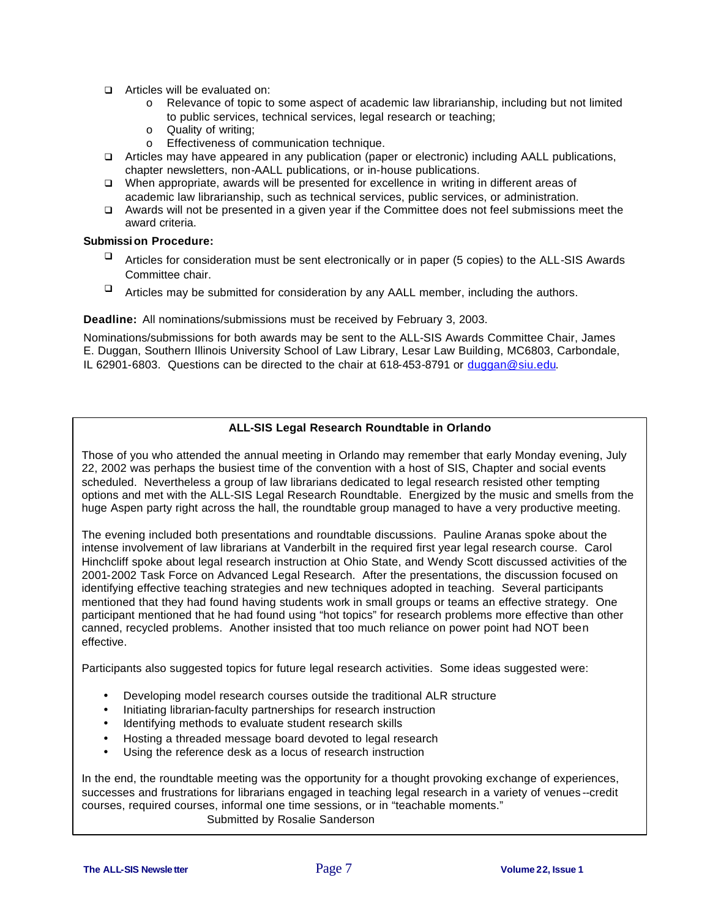- **q** Articles will be evaluated on:
	- o Relevance of topic to some aspect of academic law librarianship, including but not limited to public services, technical services, legal research or teaching;
	- o Quality of writing;
	- o Effectiveness of communication technique.
- q Articles may have appeared in any publication (paper or electronic) including AALL publications, chapter newsletters, non-AALL publications, or in-house publications.
- q When appropriate, awards will be presented for excellence in writing in different areas of academic law librarianship, such as technical services, public services, or administration.
- □ Awards will not be presented in a given year if the Committee does not feel submissions meet the award criteria.

## **Submission Procedure:**

- $\Box$  Articles for consideration must be sent electronically or in paper (5 copies) to the ALL-SIS Awards Committee chair.
- $\Box$  Articles may be submitted for consideration by any AALL member, including the authors.

**Deadline:** All nominations/submissions must be received by February 3, 2003.

Nominations/submissions for both awards may be sent to the ALL-SIS Awards Committee Chair, James E. Duggan, Southern Illinois University School of Law Library, Lesar Law Building, MC6803, Carbondale, IL 62901-6803. Questions can be directed to the chair at 618-453-8791 or duggan@siu.edu.

## **ALL-SIS Legal Research Roundtable in Orlando**

Those of you who attended the annual meeting in Orlando may remember that early Monday evening, July 22, 2002 was perhaps the busiest time of the convention with a host of SIS, Chapter and social events scheduled. Nevertheless a group of law librarians dedicated to legal research resisted other tempting options and met with the ALL-SIS Legal Research Roundtable. Energized by the music and smells from the huge Aspen party right across the hall, the roundtable group managed to have a very productive meeting.

The evening included both presentations and roundtable discussions. Pauline Aranas spoke about the intense involvement of law librarians at Vanderbilt in the required first year legal research course. Carol Hinchcliff spoke about legal research instruction at Ohio State, and Wendy Scott discussed activities of the 2001-2002 Task Force on Advanced Legal Research. After the presentations, the discussion focused on identifying effective teaching strategies and new techniques adopted in teaching. Several participants mentioned that they had found having students work in small groups or teams an effective strategy. One participant mentioned that he had found using "hot topics" for research problems more effective than other canned, recycled problems. Another insisted that too much reliance on power point had NOT been effective.

Participants also suggested topics for future legal research activities. Some ideas suggested were:

- Developing model research courses outside the traditional ALR structure
- Initiating librarian-faculty partnerships for research instruction
- Identifying methods to evaluate student research skills
- Hosting a threaded message board devoted to legal research
- Using the reference desk as a locus of research instruction

In the end, the roundtable meeting was the opportunity for a thought provoking exchange of experiences, successes and frustrations for librarians engaged in teaching legal research in a variety of venues--credit courses, required courses, informal one time sessions, or in "teachable moments." Submitted by Rosalie Sanderson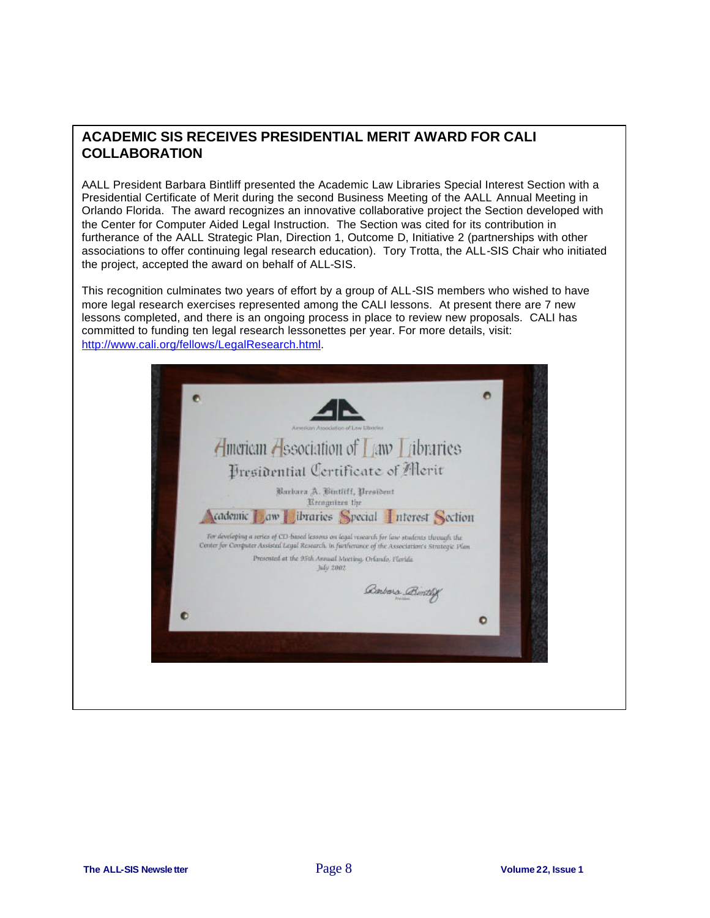## **ACADEMIC SIS RECEIVES PRESIDENTIAL MERIT AWARD FOR CALI COLLABORATION**

AALL President Barbara Bintliff presented the Academic Law Libraries Special Interest Section with a Presidential Certificate of Merit during the second Business Meeting of the AALL Annual Meeting in Orlando Florida. The award recognizes an innovative collaborative project the Section developed with the Center for Computer Aided Legal Instruction. The Section was cited for its contribution in furtherance of the AALL Strategic Plan, Direction 1, Outcome D, Initiative 2 (partnerships with other associations to offer continuing legal research education). Tory Trotta, the ALL-SIS Chair who initiated the project, accepted the award on behalf of ALL-SIS.

This recognition culminates two years of effort by a group of ALL-SIS members who wished to have more legal research exercises represented among the CALI lessons. At present there are 7 new lessons completed, and there is an ongoing process in place to review new proposals. CALI has committed to funding ten legal research lessonettes per year. For more details, visit: http://www.cali.org/fellows/LegalResearch.html.

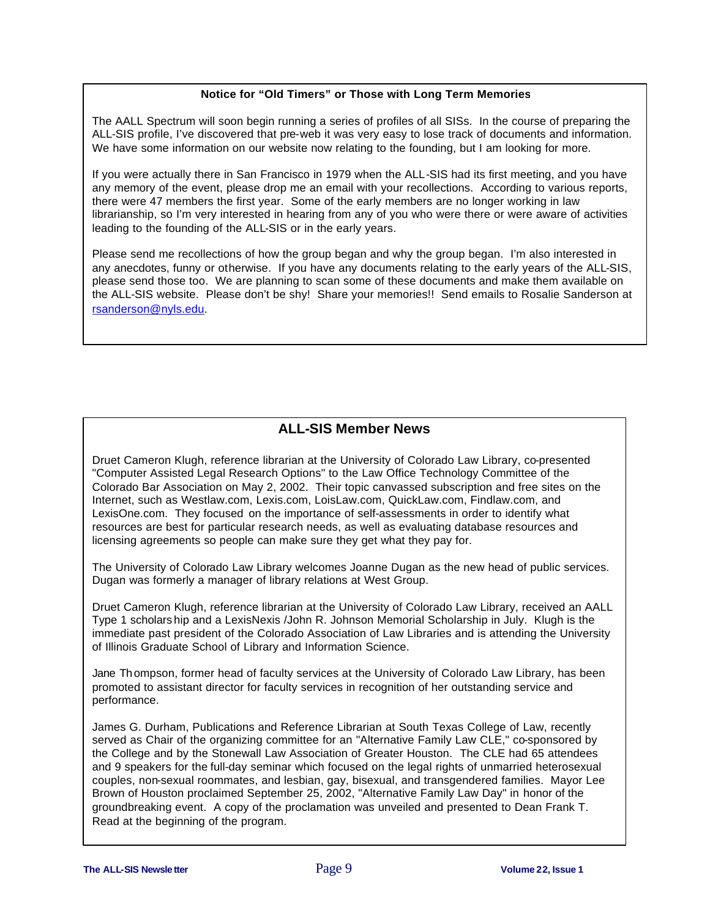## **Notice for "Old Timers" or Those with Long Term Memories**

The AALL Spectrum will soon begin running a series of profiles of all SISs. In the course of preparing the ALL-SIS profile, I've discovered that pre-web it was very easy to lose track of documents and information. We have some information on our website now relating to the founding, but I am looking for more.

If you were actually there in San Francisco in 1979 when the ALL-SIS had its first meeting, and you have any memory of the event, please drop me an email with your recollections. According to various reports, there were 47 members the first year. Some of the early members are no longer working in law librarianship, so I'm very interested in hearing from any of you who were there or were aware of activities leading to the founding of the ALL-SIS or in the early years.

Please send me recollections of how the group began and why the group began. I'm also interested in any anecdotes, funny or otherwise. If you have any documents relating to the early years of the ALL-SIS, please send those too. We are planning to scan some of these documents and make them available on the ALL-SIS website. Please don't be shy! Share your memories!! Send emails to Rosalie Sanderson at rsanderson@nyls.edu.

## **ALL-SIS Member News**

Druet Cameron Klugh, reference librarian at the University of Colorado Law Library, co-presented "Computer Assisted Legal Research Options" to the Law Office Technology Committee of the Colorado Bar Association on May 2, 2002. Their topic canvassed subscription and free sites on the Internet, such as Westlaw.com, Lexis.com, LoisLaw.com, QuickLaw.com, Findlaw.com, and LexisOne.com. They focused on the importance of self-assessments in order to identify what resources are best for particular research needs, as well as evaluating database resources and licensing agreements so people can make sure they get what they pay for.

The University of Colorado Law Library welcomes Joanne Dugan as the new head of public services. Dugan was formerly a manager of library relations at West Group.

Druet Cameron Klugh, reference librarian at the University of Colorado Law Library, received an AALL Type 1 scholars hip and a LexisNexis /John R. Johnson Memorial Scholarship in July. Klugh is the immediate past president of the Colorado Association of Law Libraries and is attending the University of Illinois Graduate School of Library and Information Science.

Jane Thompson, former head of faculty services at the University of Colorado Law Library, has been promoted to assistant director for faculty services in recognition of her outstanding service and performance.

James G. Durham, Publications and Reference Librarian at South Texas College of Law, recently served as Chair of the organizing committee for an "Alternative Family Law CLE," co-sponsored by the College and by the Stonewall Law Association of Greater Houston. The CLE had 65 attendees and 9 speakers for the full-day seminar which focused on the legal rights of unmarried heterosexual couples, non-sexual roommates, and lesbian, gay, bisexual, and transgendered families. Mayor Lee Brown of Houston proclaimed September 25, 2002, "Alternative Family Law Day" in honor of the groundbreaking event. A copy of the proclamation was unveiled and presented to Dean Frank T. Read at the beginning of the program.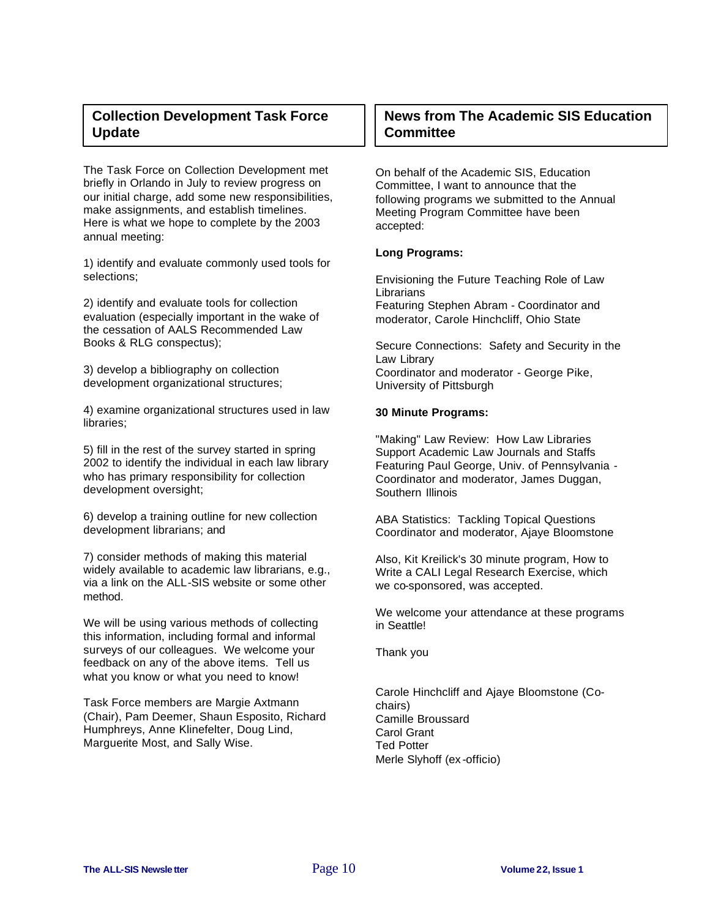## **Collection Development Task Force Update**

The Task Force on Collection Development met briefly in Orlando in July to review progress on our initial charge, add some new responsibilities, make assignments, and establish timelines. Here is what we hope to complete by the 2003 annual meeting:

1) identify and evaluate commonly used tools for selections;

2) identify and evaluate tools for collection evaluation (especially important in the wake of the cessation of AALS Recommended Law Books & RLG conspectus);

3) develop a bibliography on collection development organizational structures;

4) examine organizational structures used in law libraries;

5) fill in the rest of the survey started in spring 2002 to identify the individual in each law library who has primary responsibility for collection development oversight;

6) develop a training outline for new collection development librarians; and

7) consider methods of making this material widely available to academic law librarians, e.g., via a link on the ALL-SIS website or some other method.

We will be using various methods of collecting this information, including formal and informal surveys of our colleagues. We welcome your feedback on any of the above items. Tell us what you know or what you need to know!

Task Force members are Margie Axtmann (Chair), Pam Deemer, Shaun Esposito, Richard Humphreys, Anne Klinefelter, Doug Lind, Marguerite Most, and Sally Wise.

## **News from The Academic SIS Education Committee**

On behalf of the Academic SIS, Education Committee, I want to announce that the following programs we submitted to the Annual Meeting Program Committee have been accepted:

## **Long Programs:**

Envisioning the Future Teaching Role of Law **Librarians** Featuring Stephen Abram - Coordinator and moderator, Carole Hinchcliff, Ohio State

Secure Connections: Safety and Security in the Law Library Coordinator and moderator - George Pike, University of Pittsburgh

## **30 Minute Programs:**

"Making" Law Review: How Law Libraries Support Academic Law Journals and Staffs Featuring Paul George, Univ. of Pennsylvania - Coordinator and moderator, James Duggan, Southern Illinois

ABA Statistics: Tackling Topical Questions Coordinator and moderator, Ajaye Bloomstone

Also, Kit Kreilick's 30 minute program, How to Write a CALI Legal Research Exercise, which we co-sponsored, was accepted.

We welcome your attendance at these programs in Seattle!

Thank you

Carole Hinchcliff and Ajaye Bloomstone (Cochairs) Camille Broussard Carol Grant Ted Potter Merle Slyhoff (ex -officio)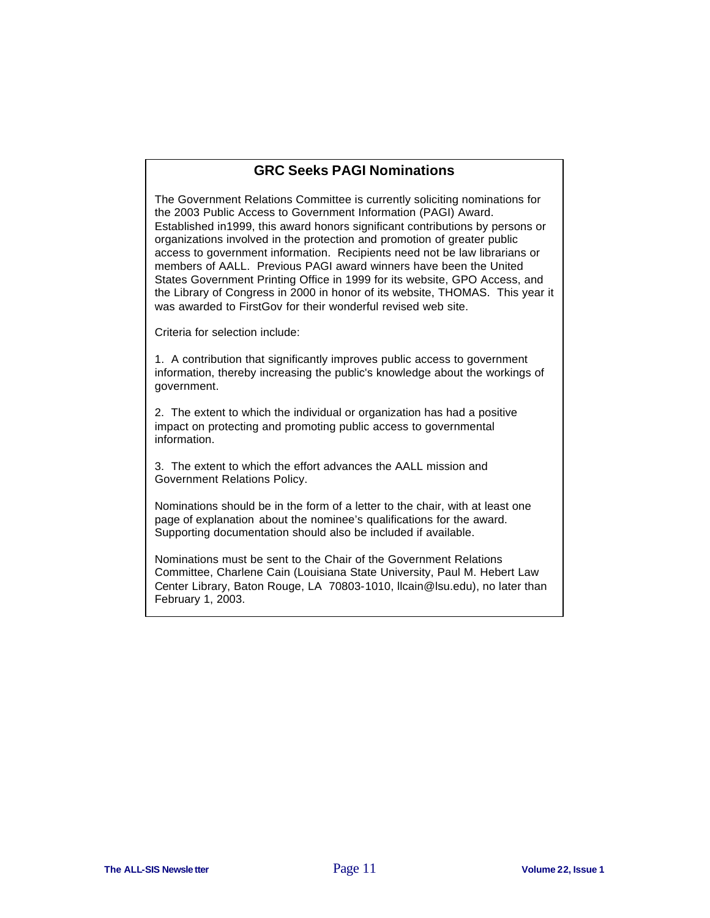## **GRC Seeks PAGI Nominations**

The Government Relations Committee is currently soliciting nominations for the 2003 Public Access to Government Information (PAGI) Award. Established in1999, this award honors significant contributions by persons or organizations involved in the protection and promotion of greater public access to government information. Recipients need not be law librarians or members of AALL. Previous PAGI award winners have been the United States Government Printing Office in 1999 for its website, GPO Access, and the Library of Congress in 2000 in honor of its website, THOMAS. This year it was awarded to FirstGov for their wonderful revised web site.

Criteria for selection include:

1. A contribution that significantly improves public access to government information, thereby increasing the public's knowledge about the workings of government.

2. The extent to which the individual or organization has had a positive impact on protecting and promoting public access to governmental information.

3. The extent to which the effort advances the AALL mission and Government Relations Policy.

Nominations should be in the form of a letter to the chair, with at least one page of explanation about the nominee's qualifications for the award. Supporting documentation should also be included if available.

Nominations must be sent to the Chair of the Government Relations Committee, Charlene Cain (Louisiana State University, Paul M. Hebert Law Center Library, Baton Rouge, LA 70803-1010, llcain@lsu.edu), no later than February 1, 2003.